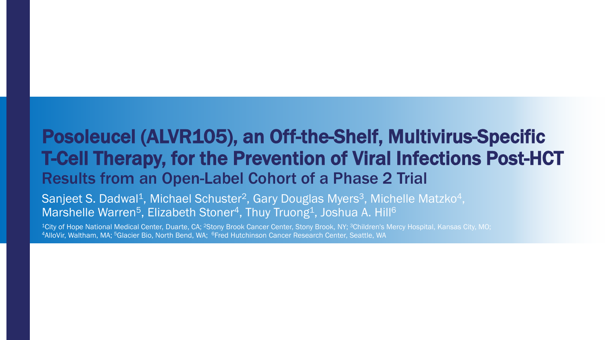#### Posoleucel (ALVR105), an Off-the-Shelf, Multivirus-Specific T-Cell Therapy, for the Prevention of Viral Infections Post-HCT Results from an Open-Label Cohort of a Phase 2 Trial

 ${\sf Sanject}$   ${\sf S.}$  Dadwal $^{\rm 1}$ , Michael Schuster $^{\rm 2}$ , Gary Douglas Myers $^{\rm 3}$ , Michelle Matzko $^{\rm 4}$ , Marshelle Warren<sup>5</sup>, Elizabeth Stoner<sup>4</sup>, Thuy Truong<sup>1</sup>, Joshua A. Hill<sup>6</sup>

<sup>1</sup>City of Hope National Medical Center, Duarte, CA; <sup>2</sup>Stony Brook Cancer Center, Stony Brook, NY; <sup>3</sup>Children's Mercy Hospital, Kansas City, MO; 4AlloVir, Waltham, MA; 5Glacier Bio, North Bend, WA; 6Fred Hutchinson Cancer Research Center, Seattle, WA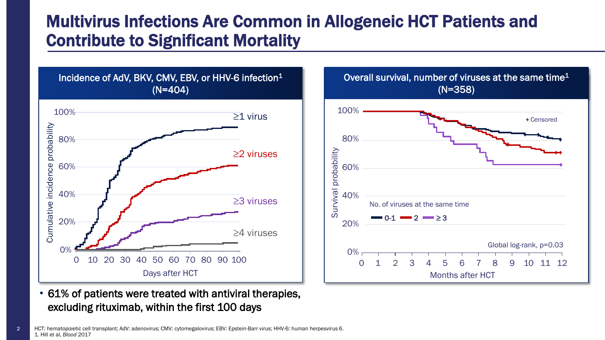#### Multivirus Infections Are Common in Allogeneic HCT Patients and Contribute to Significant Mortality





• 61% of patients were treated with antiviral therapies, excluding rituximab, within the first 100 days

HCT: hematopoietic cell transplant; AdV: adenovirus; CMV: cytomegalovirus; EBV: Epstein-Barr virus; HHV-6: human herpesvirus 6. 1. Hill et al, *Blood* 2017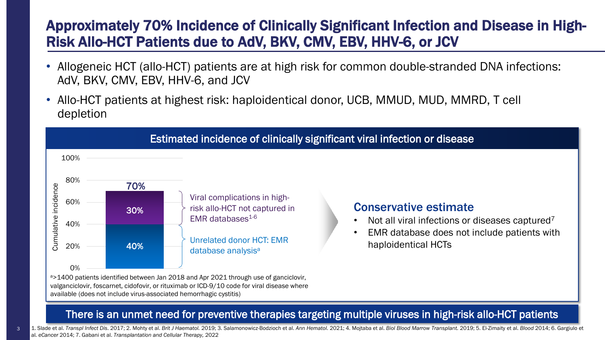#### Approximately 70% Incidence of Clinically Significant Infection and Disease in High-Risk Allo-HCT Patients due to AdV, BKV, CMV, EBV, HHV-6, or JCV

- Allogeneic HCT (allo-HCT) patients are at high risk for common double-stranded DNA infections: AdV, BKV, CMV, EBV, HHV-6, and JCV
- Allo-HCT patients at highest risk: haploidentical donor, UCB, MMUD, MUD, MMRD, T cell depletion



There is an unmet need for preventive therapies targeting multiple viruses in high-risk allo-HCT patients

3

1. Slade et al. Transpl Infect Dis. 2017; 2. Mohty et al. Brit J Haematol. 2019; 3. Salamonowicz-Bodzioch et al. Ann Hematol. 2021; 4. Mojtaba et al. Biol Blood Marrow Transplant. 2019; 5. El-Zimaity et al. Blood 2014; 6. al. *eCancer* 2014; 7. Gabani et al. *Transplantation and Cellular Therapy,* 2022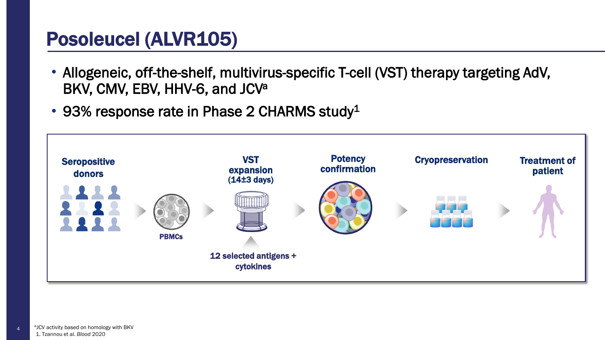## Posoleucel (ALVR105)

- Allogeneic, off-the-shelf, multivirus-specific T-cell (VST) therapy targeting AdV, BKV, CMV, EBV, HHV-6, and JCV<sup>a</sup>
- 93% response rate in Phase 2 CHARMS study<sup>1</sup>

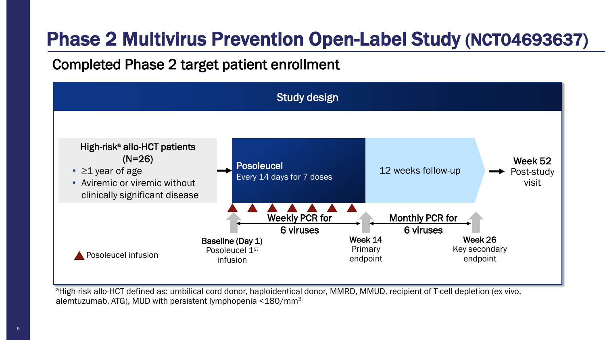# Phase 2 Multivirus Prevention Open-Label Study (NCT04693637)

#### Completed Phase 2 target patient enrollment

![](_page_4_Figure_2.jpeg)

alemtuzumab, ATG), MUD with persistent lymphopenia <180/mm3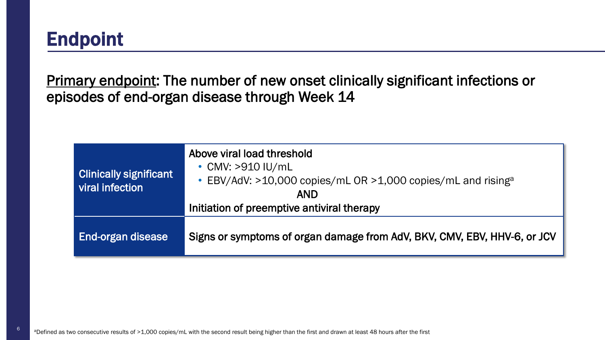## Endpoint

Primary endpoint: The number of new onset clinically significant infections or episodes of end-organ disease through Week 14

| <b>Clinically significant</b><br>viral infection | Above viral load threshold<br>$\cdot$ CMV: >910 IU/mL<br>• EBV/AdV: $>10,000$ copies/mL OR $>1,000$ copies/mL and rising <sup>a</sup><br><b>AND</b><br>Initiation of preemptive antiviral therapy |
|--------------------------------------------------|---------------------------------------------------------------------------------------------------------------------------------------------------------------------------------------------------|
| End-organ disease                                | Signs or symptoms of organ damage from AdV, BKV, CMV, EBV, HHV-6, or JCV                                                                                                                          |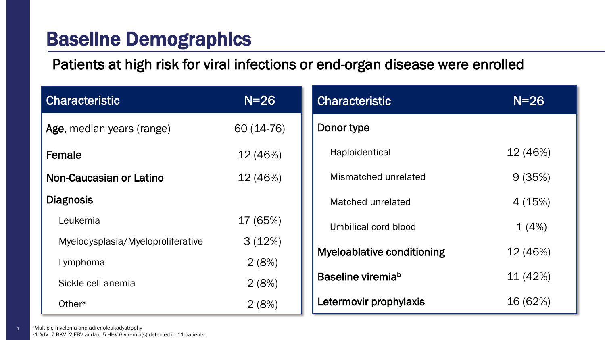#### Baseline Demographics

Patients at high risk for viral infections or end-organ disease were enrolled

| <b>Characteristic</b>             | $N=26$     | <b>Characteristic</b>             |  |
|-----------------------------------|------------|-----------------------------------|--|
| Age, median years (range)         | 60 (14-76) | Donor type                        |  |
| Female                            | 12 (46%)   | Haploidentical                    |  |
| Non-Caucasian or Latino           | 12 (46%)   | Mismatched unrelated              |  |
| <b>Diagnosis</b>                  |            | Matched unrelated                 |  |
| Leukemia                          | 17 (65%)   | Umbilical cord blood              |  |
| Myelodysplasia/Myeloproliferative | 3(12%)     | <b>Myeloablative conditioning</b> |  |
| Lymphoma                          | 2(8%)      |                                   |  |
| Sickle cell anemia                | 2(8%)      | Baseline viremia <sup>b</sup>     |  |
| Othera                            | 2(8%)      | Letermovir prophylaxis            |  |

aMultiple myeloma and adrenoleukodystrophy

7

<sup>b</sup>1 AdV, 7 BKV, 2 EBV and/or 5 HHV-6 viremia(s) detected in 11 patients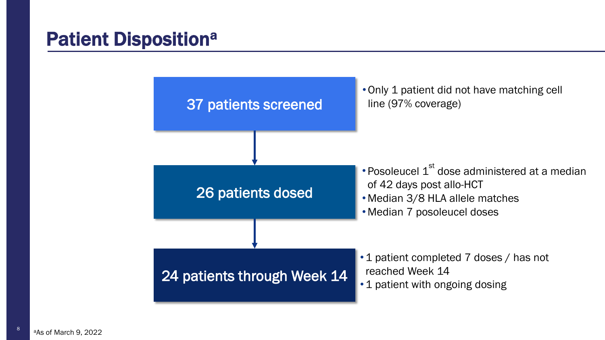#### **Patient Dispositiona**

![](_page_7_Figure_1.jpeg)

8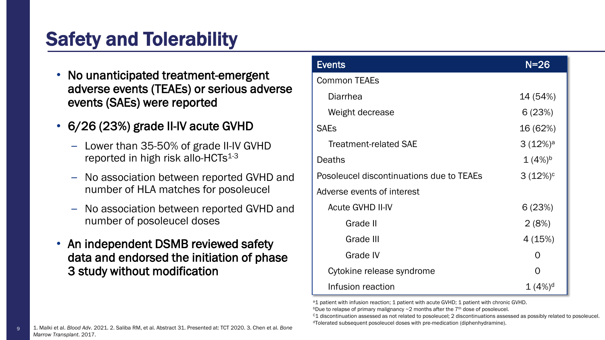# Safety and Tolerability

- No unanticipated treatment-emergent adverse events (TEAEs) or serious adverse events (SAEs) were reported
- 6/26 (23%) grade II-IV acute GVHD
	- Lower than 35-50% of grade II-IV GVHD reported in high risk allo-HCTs $1-3$
	- No association between reported GVHD and number of HLA matches for posoleucel
	- No association between reported GVHD and number of posoleucel doses
- An independent DSMB reviewed safety data and endorsed the initiation of phase 3 study without modification

| <b>Events</b>                                          | $N = 26$           |  |
|--------------------------------------------------------|--------------------|--|
| <b>Common TEAEs</b>                                    |                    |  |
| <b>Diarrhea</b>                                        | 14 (54%)           |  |
| Weight decrease                                        | 6(23%)             |  |
| <b>SAEs</b>                                            | 16 (62%)           |  |
| <b>Treatment-related SAE</b>                           | $3(12\%)^a$        |  |
| Deaths                                                 | $1(4%)^b$          |  |
| $3(12%)^c$<br>Posoleucel discontinuations due to TEAEs |                    |  |
| Adverse events of interest                             |                    |  |
| <b>Acute GVHD II-IV</b>                                | 6(23%)             |  |
| Grade II                                               | 2(8%)              |  |
| Grade III                                              | 4(15%)             |  |
| Grade IV<br>O                                          |                    |  |
| Cytokine release syndrome                              | $\mathcal{O}$      |  |
| Infusion reaction                                      | 1(4%) <sup>d</sup> |  |

<sup>a</sup>1 patient with infusion reaction; 1 patient with acute GVHD; 1 patient with chronic GVHD.

bDue to relapse of primary malignancy  $\sim$  2 months after the 7<sup>th</sup> dose of posoleucel.

 $c_1$  discontinuation assessed as not related to posoleucel; 2 discontinuations assessed as possibly related to posoleucel. dTolerated subsequent posoleucel doses with pre-medication (diphenhydramine).

1. Malki et al. *Blood Adv*. 2021. 2. Saliba RM, et al. Abstract 31. Presented at: TCT 2020. 3. Chen et al. *Bone Marrow Transplant*. 2017.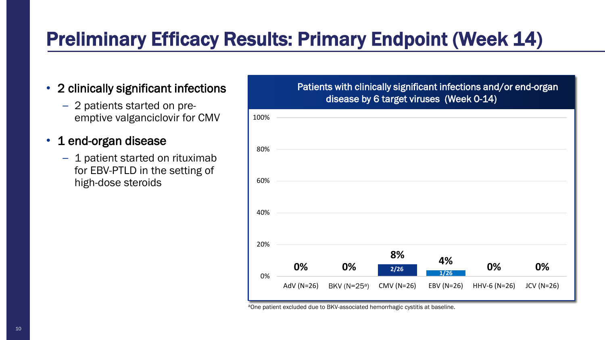# Preliminary Efficacy Results: Primary Endpoint (Week 14)

- 2 clinically significant infections
	- 2 patients started on preemptive valganciclovir for CMV
- 1 end-organ disease
	- 1 patient started on rituximab for EBV-PTLD in the setting of high-dose steroids

#### Patients with clinically significant infections and/or end-organ disease by 6 target viruses (Week 0-14)

| 100% |            |                  |            |              |              |             |  |
|------|------------|------------------|------------|--------------|--------------|-------------|--|
| 80%  |            |                  |            |              |              |             |  |
| 60%  |            |                  |            |              |              |             |  |
| 40%  |            |                  |            |              |              |             |  |
| 20%  |            |                  |            |              |              |             |  |
|      | 0%         | 0%               | 8%<br>2/26 | 4%<br>$1/26$ | 0%           | 0%          |  |
| 0%   | AdV (N=26) | BKV ( $N=25^a$ ) | CMV (N=26) | EBV (N=26)   | HHV-6 (N=26) | $JCV(N=26)$ |  |

aOne patient excluded due to BKV-associated hemorrhagic cystitis at baseline.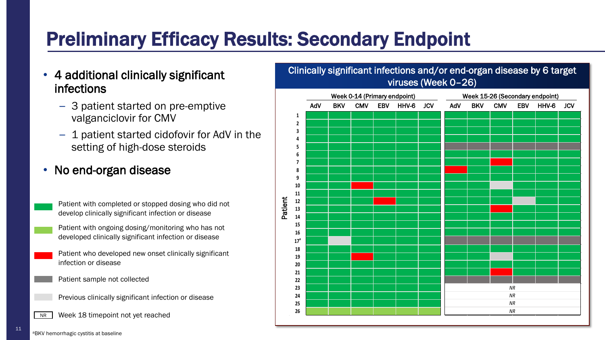# Preliminary Efficacy Results: Secondary Endpoint

- 4 additional clinically significant infections
	- 3 patient started on pre-emptive valganciclovir for CMV
	- 1 patient started cidofovir for AdV in the setting of high-dose steroids
- No end-organ disease

Patient with completed or stopped dosing who did not develop clinically significant infection or disease

Patient with ongoing dosing/monitoring who has not developed clinically significant infection or disease

- Patient who developed new onset clinically significant infection or disease
- Patient sample not collected
- Previous clinically significant infection or disease
- NR Week 18 timepoint not yet reached

![](_page_10_Figure_11.jpeg)

11 **aBKV** hemorrhagic cystitis at baseline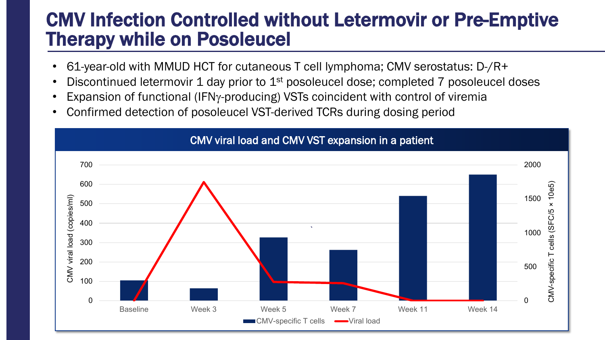#### CMV Infection Controlled without Letermovir or Pre-Emptive Therapy while on Posoleucel

- 61-year-old with MMUD HCT for cutaneous T cell lymphoma; CMV serostatus: D-/R+
- Discontinued letermovir 1 day prior to 1<sup>st</sup> posoleucel dose; completed 7 posoleucel doses
- Expansion of functional (IFNγ-producing) VSTs coincident with control of viremia
- Confirmed detection of posoleucel VST-derived TCRs during dosing period

![](_page_11_Figure_5.jpeg)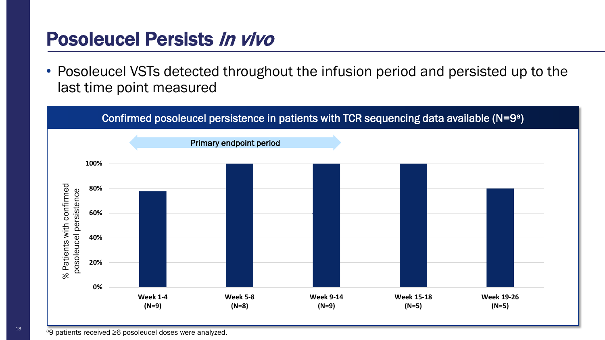#### Posoleucel Persists in vivo

• Posoleucel VSTs detected throughout the infusion period and persisted up to the last time point measured

![](_page_12_Figure_2.jpeg)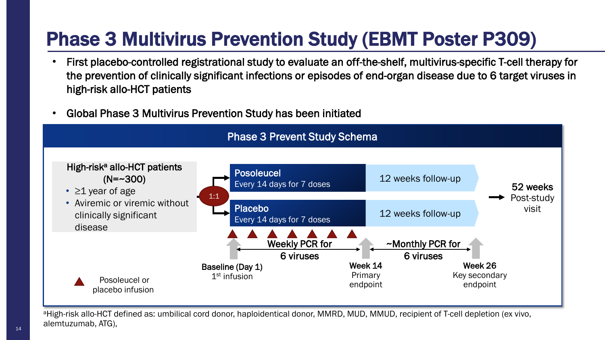# Phase 3 Multivirus Prevention Study (EBMT Poster P309)

- First placebo-controlled registrational study to evaluate an off-the-shelf, multivirus-specific T-cell therapy for the prevention of clinically significant infections or episodes of end-organ disease due to 6 target viruses in high-risk allo-HCT patients
- Global Phase 3 Multivirus Prevention Study has been initiated

![](_page_13_Figure_3.jpeg)

aHigh-risk allo-HCT defined as: umbilical cord donor, haploidentical donor, MMRD, MUD, MMUD, recipient of T-cell depletion (ex vivo, alemtuzumab, ATG),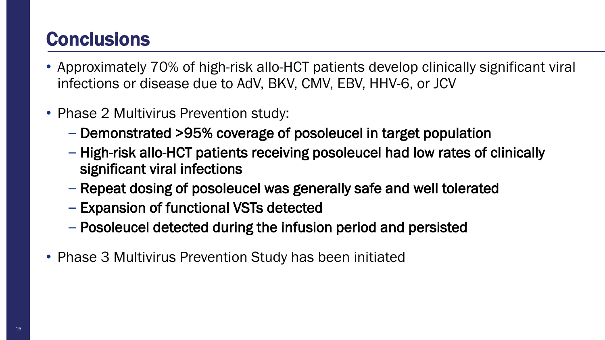## **Conclusions**

- Approximately 70% of high-risk allo-HCT patients develop clinically significant viral infections or disease due to AdV, BKV, CMV, EBV, HHV-6, or JCV
- Phase 2 Multivirus Prevention study:
	- Demonstrated >95% coverage of posoleucel in target population
	- High-risk allo-HCT patients receiving posoleucel had low rates of clinically significant viral infections
	- Repeat dosing of posoleucel was generally safe and well tolerated
	- Expansion of functional VSTs detected
	- Posoleucel detected during the infusion period and persisted
- Phase 3 Multivirus Prevention Study has been initiated